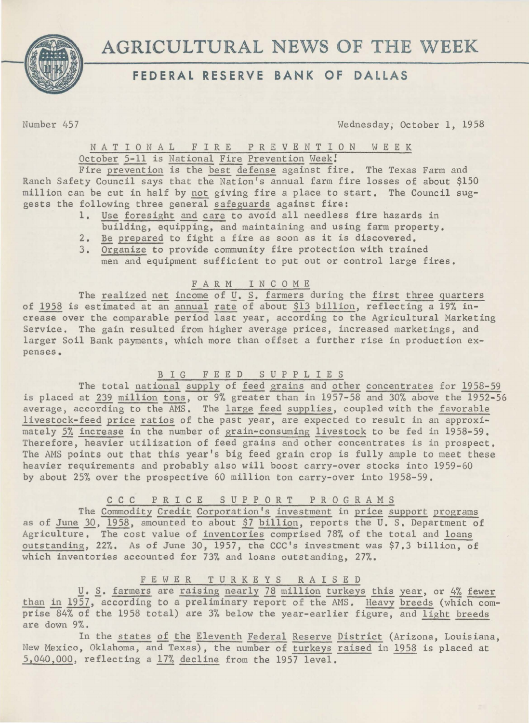



Number 457

Wednesday, October 1, 1958

### NATIONAL FIRE PREVENTION WEEK October 5-11 is National Fire Prevention Week!

Fire prevention is the best defense against fire. The Texas Farm and Ranch Safety Council says that the Nation's annual farm fire losses of about \$150 million can be cut in half by not giving fire a place to start. The Council suggests the following three general safeguards against fire:

- 1. Use foresight and care to avoid all needless fire hazards in building, equipping, and maintaining and using farm property.
- 2. Be prepared to fight a fire as soon as it is discovered.
- 3. Organize to provide community fire protection with trained men and equipment sufficient to put out or control large fires.

## F A R M I N C 0 M E

The realized net income of U. S. farmers during the first three quarters of 1958 is estimated at an annual rate of about \$13 billion, reflecting a 19% increase over the comparable period last year, according to the Agricultural Marketing Service. The gain resulted from higher average prices, increased marketings, and larger Soil Bank payments, which more than offset a further rise in production expenses.

# B I G F E E D S U P P L I E S

The total national supply of feed grains and other concentrates for 1958-59 is placed at 239 million tons, or 9% greater than in 1957-58 and 30% above the 1952-56 average, according to the AMS. The large feed supplies, coupled with the favorable livestock-feed price ratios of the past year, are expected to result in an approximately 5% increase in the number of grain-consuming livestock to be fed in 1958-59. Therefore, heavier utilization of feed grains and other concentrates is in prospect. The AMS points out that this year's big feed grain crop is fully ample to meet these heavier requirements and probably also will boost carry-over stocks into 1959-60 by about 25% over the prospective 60 million ton carry-over into 1958-59.

# c c c P R I C E SUPPORT PROGRAMS

The Commodity Credit Corporation's investment in price support programs as of June 30, 1958, amounted to about \$7 billion, reports the U, S. Department of Agriculture. The cost value of inventories comprised 78% of the total and loans outstanding, 22%. As of June 30, 1957, the CCC's investment was \$7.3 billion, of which inventories accounted for 73% and loans outstanding, 27%.

# F E W E R TURKEYS RAISED

*Q. S. farmers are raising nearly 78 million turkeys this year, or 4% fewer* than in 1957, according to a preliminary report of the AMS. Heavy breeds (which comprise 84% of the 1958 total) are 3% below the year-earlier figure, and light breeds are down 9%.

In the states of the Eleventh Federal Reserve District (Arizona, Louisiana, New Mexico, Oklahoma, and Texas), the number of turkeys raised in 1958 is placed at 5,040,000, reflecting a 17% decline from the 1957 level,